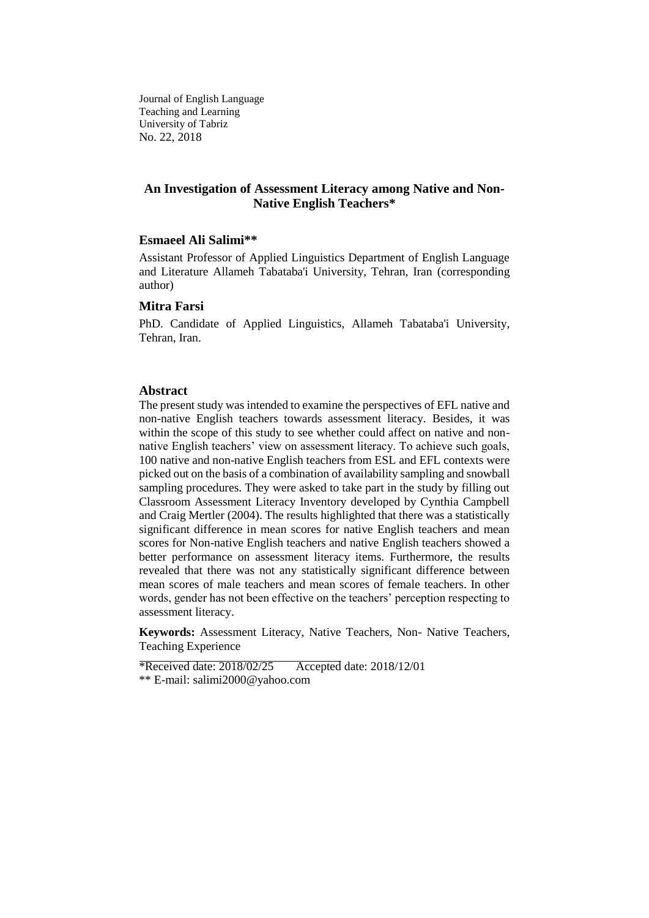Journal of English Language Teaching and Learning University of Tabriz No. 22, 2018

# **An Investigation of Assessment Literacy among Native and Non-Native English Teachers\***

## **Esmaeel Ali Salimi\*\***

Assistant Professor of Applied Linguistics Department of English Language and Literature Allameh Tabataba'i University, Tehran, Iran (corresponding author)

## **Mitra Farsi**

PhD. Candidate of Applied Linguistics, Allameh Tabataba'i University, Tehran, Iran.

### **Abstract**

The present study was intended to examine the perspectives of EFL native and non-native English teachers towards assessment literacy. Besides, it was within the scope of this study to see whether could affect on native and nonnative English teachers' view on assessment literacy. To achieve such goals, 100 native and non-native English teachers from ESL and EFL contexts were picked out on the basis of a combination of availability sampling and snowball sampling procedures. They were asked to take part in the study by filling out Classroom Assessment Literacy Inventory developed by Cynthia Campbell and Craig Mertler (2004). The results highlighted that there was a statistically significant difference in mean scores for native English teachers and mean scores for Non-native English teachers and native English teachers showed a better performance on assessment literacy items. Furthermore, the results revealed that there was not any statistically significant difference between mean scores of male teachers and mean scores of female teachers. In other words, gender has not been effective on the teachers' perception respecting to assessment literacy.

**Keywords:** Assessment Literacy, Native Teachers, Non- Native Teachers, Teaching Experience

\*Received date: 2018/02/25 Accepted date: 2018/12/01 \*\* E-mail: salimi2000@yahoo.com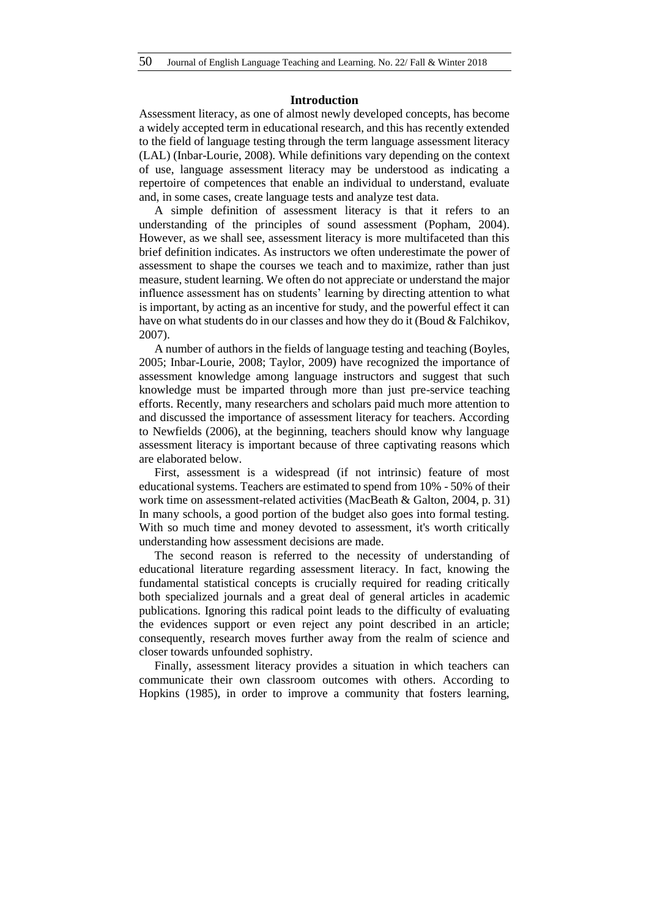#### **Introduction**

Assessment literacy, as one of almost newly developed concepts, has become a widely accepted term in educational research, and this has recently extended to the field of language testing through the term language assessment literacy (LAL) (Inbar-Lourie, 2008). While definitions vary depending on the context of use, language assessment literacy may be understood as indicating a repertoire of competences that enable an individual to understand, evaluate and, in some cases, create language tests and analyze test data.

A simple definition of assessment literacy is that it refers to an understanding of the principles of sound assessment (Popham, 2004). However, as we shall see, assessment literacy is more multifaceted than this brief definition indicates. As instructors we often underestimate the power of assessment to shape the courses we teach and to maximize, rather than just measure, student learning. We often do not appreciate or understand the major influence assessment has on students' learning by directing attention to what is important, by acting as an incentive for study, and the powerful effect it can have on what students do in our classes and how they do it (Boud & Falchikov, 2007).

A number of authors in the fields of language testing and teaching (Boyles, 2005; Inbar-Lourie, 2008; Taylor, 2009) have recognized the importance of assessment knowledge among language instructors and suggest that such knowledge must be imparted through more than just pre-service teaching efforts. Recently, many researchers and scholars paid much more attention to and discussed the importance of assessment literacy for teachers. According to Newfields (2006), at the beginning, teachers should know why language assessment literacy is important because of three captivating reasons which are elaborated below.

First, assessment is a widespread (if not intrinsic) feature of most educational systems. Teachers are estimated to spend from 10% - 50% of their work time on assessment-related activities (MacBeath & Galton, 2004, p. 31) In many schools, a good portion of the budget also goes into formal testing. With so much time and money devoted to assessment, it's worth critically understanding how assessment decisions are made.

The second reason is referred to the necessity of understanding of educational literature regarding assessment literacy. In fact, knowing the fundamental statistical concepts is crucially required for reading critically both specialized journals and a great deal of general articles in academic publications. Ignoring this radical point leads to the difficulty of evaluating the evidences support or even reject any point described in an article; consequently, research moves further away from the realm of science and closer towards unfounded sophistry.

Finally, assessment literacy provides a situation in which teachers can communicate their own classroom outcomes with others. According to Hopkins (1985), in order to improve a community that fosters learning,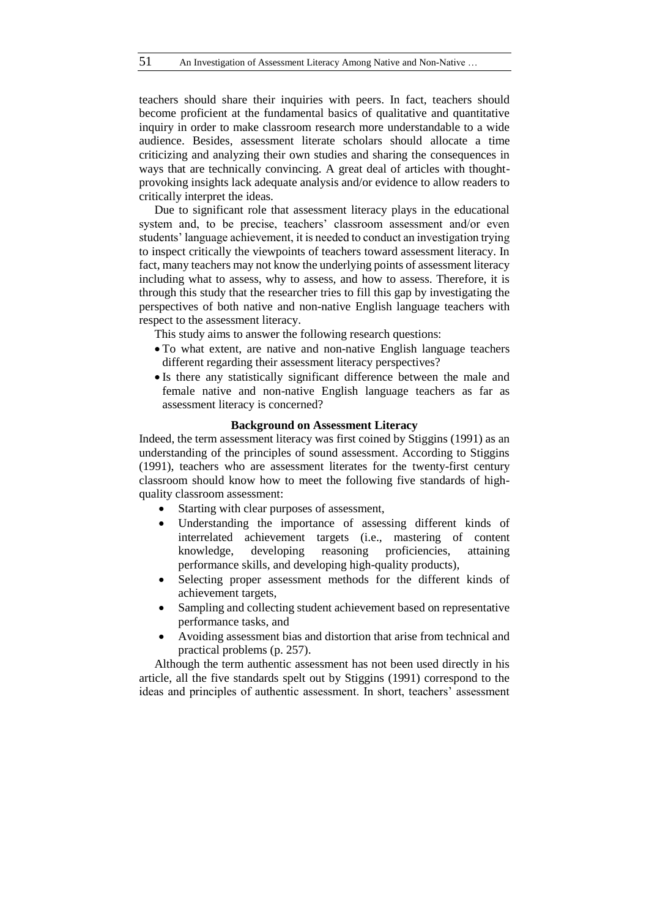teachers should share their inquiries with peers. In fact, teachers should become proficient at the fundamental basics of qualitative and quantitative inquiry in order to make classroom research more understandable to a wide audience. Besides, assessment literate scholars should allocate a time criticizing and analyzing their own studies and sharing the consequences in ways that are technically convincing. A great deal of articles with thoughtprovoking insights lack adequate analysis and/or evidence to allow readers to critically interpret the ideas.

Due to significant role that assessment literacy plays in the educational system and, to be precise, teachers' classroom assessment and/or even students' language achievement, it is needed to conduct an investigation trying to inspect critically the viewpoints of teachers toward assessment literacy. In fact, many teachers may not know the underlying points of assessment literacy including what to assess, why to assess, and how to assess. Therefore, it is through this study that the researcher tries to fill this gap by investigating the perspectives of both native and non-native English language teachers with respect to the assessment literacy.

This study aims to answer the following research questions:

- To what extent, are native and non-native English language teachers different regarding their assessment literacy perspectives?
- Is there any statistically significant difference between the male and female native and non-native English language teachers as far as assessment literacy is concerned?

## **Background on Assessment Literacy**

Indeed, the term assessment literacy was first coined by Stiggins (1991) as an understanding of the principles of sound assessment. According to Stiggins (1991), teachers who are assessment literates for the twenty-first century classroom should know how to meet the following five standards of highquality classroom assessment:

- Starting with clear purposes of assessment,
- Understanding the importance of assessing different kinds of interrelated achievement targets (i.e., mastering of content knowledge, developing reasoning proficiencies, attaining performance skills, and developing high-quality products),
- Selecting proper assessment methods for the different kinds of achievement targets,
- Sampling and collecting student achievement based on representative performance tasks, and
- Avoiding assessment bias and distortion that arise from technical and practical problems (p. 257).

Although the term authentic assessment has not been used directly in his article, all the five standards spelt out by Stiggins (1991) correspond to the ideas and principles of authentic assessment. In short, teachers' assessment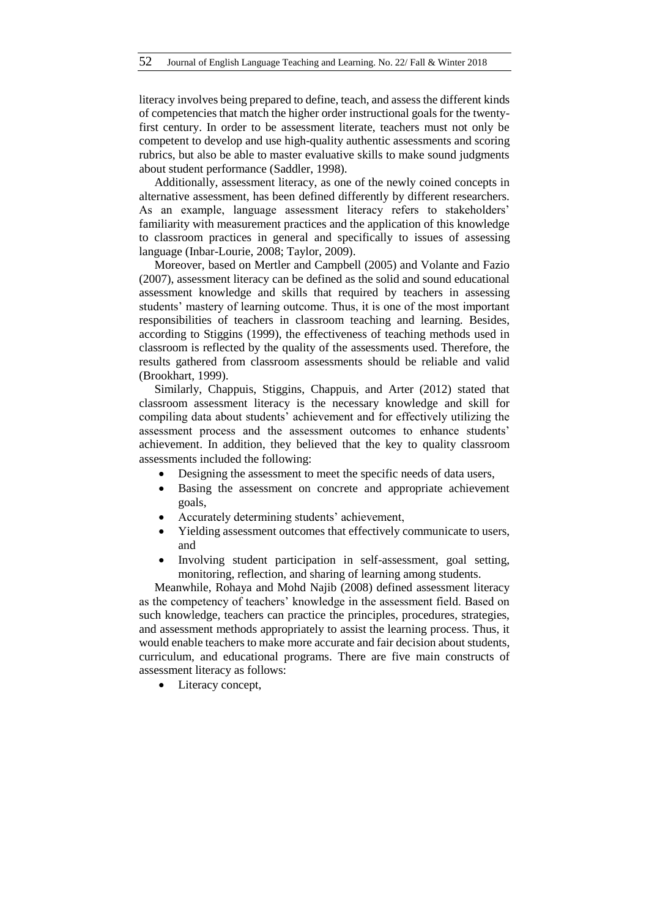literacy involves being prepared to define, teach, and assess the different kinds of competencies that match the higher order instructional goals for the twentyfirst century. In order to be assessment literate, teachers must not only be competent to develop and use high-quality authentic assessments and scoring rubrics, but also be able to master evaluative skills to make sound judgments about student performance (Saddler, 1998).

Additionally, assessment literacy, as one of the newly coined concepts in alternative assessment, has been defined differently by different researchers. As an example, language assessment literacy refers to stakeholders' familiarity with measurement practices and the application of this knowledge to classroom practices in general and specifically to issues of assessing language (Inbar-Lourie, 2008; Taylor, 2009).

Moreover, based on Mertler and Campbell (2005) and Volante and Fazio (2007), assessment literacy can be defined as the solid and sound educational assessment knowledge and skills that required by teachers in assessing students' mastery of learning outcome. Thus, it is one of the most important responsibilities of teachers in classroom teaching and learning. Besides, according to Stiggins (1999), the effectiveness of teaching methods used in classroom is reflected by the quality of the assessments used. Therefore, the results gathered from classroom assessments should be reliable and valid (Brookhart, 1999).

Similarly, Chappuis, Stiggins, Chappuis, and Arter (2012) stated that classroom assessment literacy is the necessary knowledge and skill for compiling data about students' achievement and for effectively utilizing the assessment process and the assessment outcomes to enhance students' achievement. In addition, they believed that the key to quality classroom assessments included the following:

- Designing the assessment to meet the specific needs of data users,
- Basing the assessment on concrete and appropriate achievement goals,
- Accurately determining students' achievement,
- Yielding assessment outcomes that effectively communicate to users, and
- Involving student participation in self-assessment, goal setting, monitoring, reflection, and sharing of learning among students.

Meanwhile, Rohaya and Mohd Najib (2008) defined assessment literacy as the competency of teachers' knowledge in the assessment field. Based on such knowledge, teachers can practice the principles, procedures, strategies, and assessment methods appropriately to assist the learning process. Thus, it would enable teachers to make more accurate and fair decision about students, curriculum, and educational programs. There are five main constructs of assessment literacy as follows:

• Literacy concept,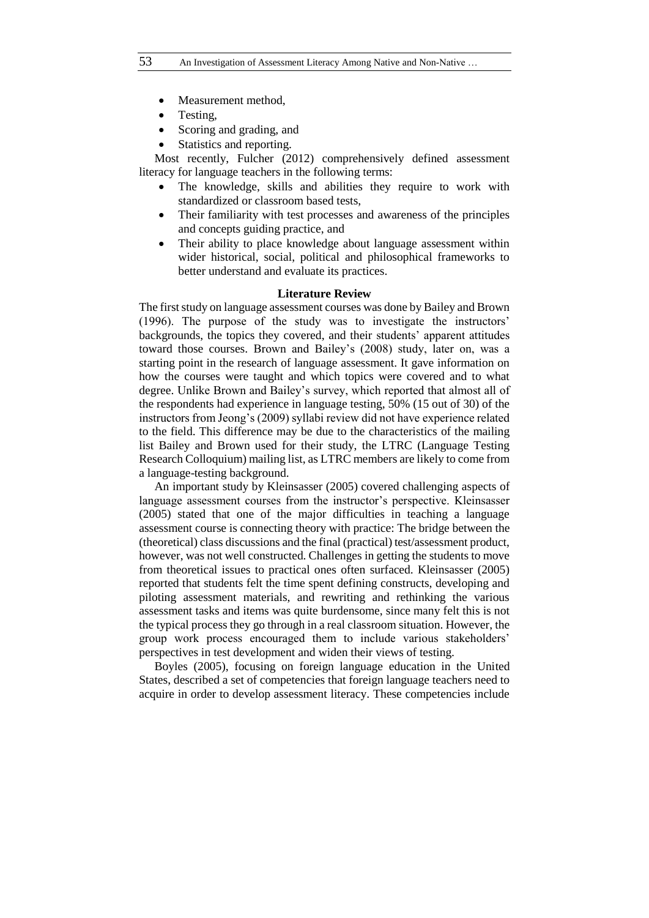- Measurement method,
- Testing.
- Scoring and grading, and
- Statistics and reporting.

Most recently, Fulcher (2012) comprehensively defined assessment literacy for language teachers in the following terms:

- The knowledge, skills and abilities they require to work with standardized or classroom based tests,
- Their familiarity with test processes and awareness of the principles and concepts guiding practice, and
- Their ability to place knowledge about language assessment within wider historical, social, political and philosophical frameworks to better understand and evaluate its practices.

### **Literature Review**

The first study on language assessment courses was done by Bailey and Brown (1996). The purpose of the study was to investigate the instructors' backgrounds, the topics they covered, and their students' apparent attitudes toward those courses. Brown and Bailey's (2008) study, later on, was a starting point in the research of language assessment. It gave information on how the courses were taught and which topics were covered and to what degree. Unlike Brown and Bailey's survey, which reported that almost all of the respondents had experience in language testing, 50% (15 out of 30) of the instructors from Jeong's (2009) syllabi review did not have experience related to the field. This difference may be due to the characteristics of the mailing list Bailey and Brown used for their study, the LTRC (Language Testing Research Colloquium) mailing list, as LTRC members are likely to come from a language-testing background.

An important study by Kleinsasser (2005) covered challenging aspects of language assessment courses from the instructor's perspective. Kleinsasser (2005) stated that one of the major difficulties in teaching a language assessment course is connecting theory with practice: The bridge between the (theoretical) class discussions and the final (practical) test/assessment product, however, was not well constructed. Challenges in getting the students to move from theoretical issues to practical ones often surfaced. Kleinsasser (2005) reported that students felt the time spent defining constructs, developing and piloting assessment materials, and rewriting and rethinking the various assessment tasks and items was quite burdensome, since many felt this is not the typical process they go through in a real classroom situation. However, the group work process encouraged them to include various stakeholders' perspectives in test development and widen their views of testing.

Boyles (2005), focusing on foreign language education in the United States, described a set of competencies that foreign language teachers need to acquire in order to develop assessment literacy. These competencies include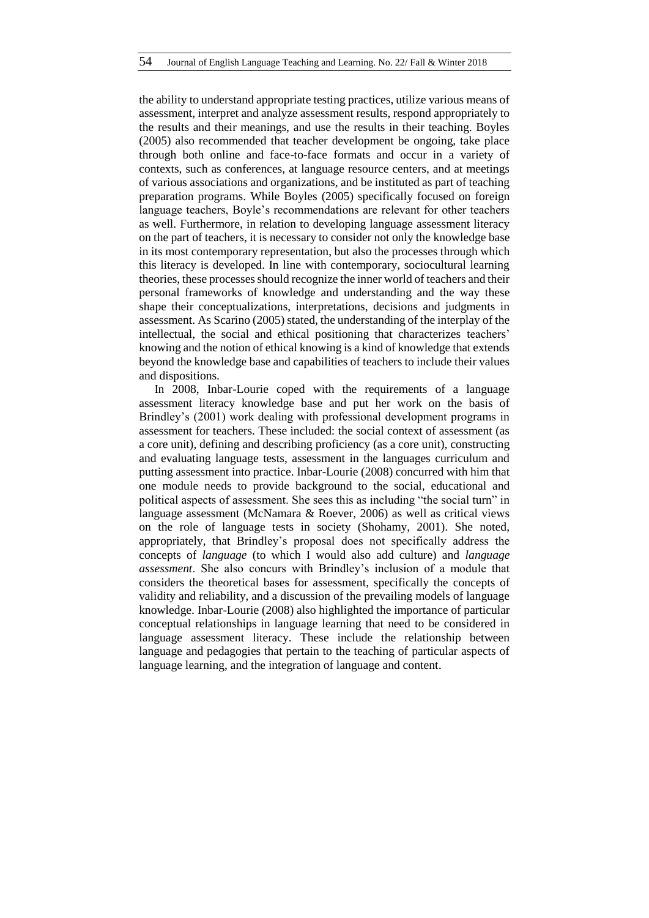the ability to understand appropriate testing practices, utilize various means of assessment, interpret and analyze assessment results, respond appropriately to the results and their meanings, and use the results in their teaching. Boyles (2005) also recommended that teacher development be ongoing, take place through both online and face-to-face formats and occur in a variety of contexts, such as conferences, at language resource centers, and at meetings of various associations and organizations, and be instituted as part of teaching preparation programs. While Boyles (2005) specifically focused on foreign language teachers, Boyle's recommendations are relevant for other teachers as well. Furthermore, in relation to developing language assessment literacy on the part of teachers, it is necessary to consider not only the knowledge base in its most contemporary representation, but also the processes through which this literacy is developed. In line with contemporary, sociocultural learning theories, these processes should recognize the inner world of teachers and their personal frameworks of knowledge and understanding and the way these shape their conceptualizations, interpretations, decisions and judgments in assessment. As Scarino (2005) stated, the understanding of the interplay of the intellectual, the social and ethical positioning that characterizes teachers' knowing and the notion of ethical knowing is a kind of knowledge that extends beyond the knowledge base and capabilities of teachers to include their values and dispositions.

In 2008, Inbar-Lourie coped with the requirements of a language assessment literacy knowledge base and put her work on the basis of Brindley's (2001) work dealing with professional development programs in assessment for teachers. These included: the social context of assessment (as a core unit), defining and describing proficiency (as a core unit), constructing and evaluating language tests, assessment in the languages curriculum and putting assessment into practice. Inbar-Lourie (2008) concurred with him that one module needs to provide background to the social, educational and political aspects of assessment. She sees this as including "the social turn" in language assessment (McNamara & Roever, 2006) as well as critical views on the role of language tests in society (Shohamy, 2001). She noted, appropriately, that Brindley's proposal does not specifically address the concepts of *language* (to which I would also add culture) and *language assessment*. She also concurs with Brindley's inclusion of a module that considers the theoretical bases for assessment, specifically the concepts of validity and reliability, and a discussion of the prevailing models of language knowledge. Inbar-Lourie (2008) also highlighted the importance of particular conceptual relationships in language learning that need to be considered in language assessment literacy. These include the relationship between language and pedagogies that pertain to the teaching of particular aspects of language learning, and the integration of language and content.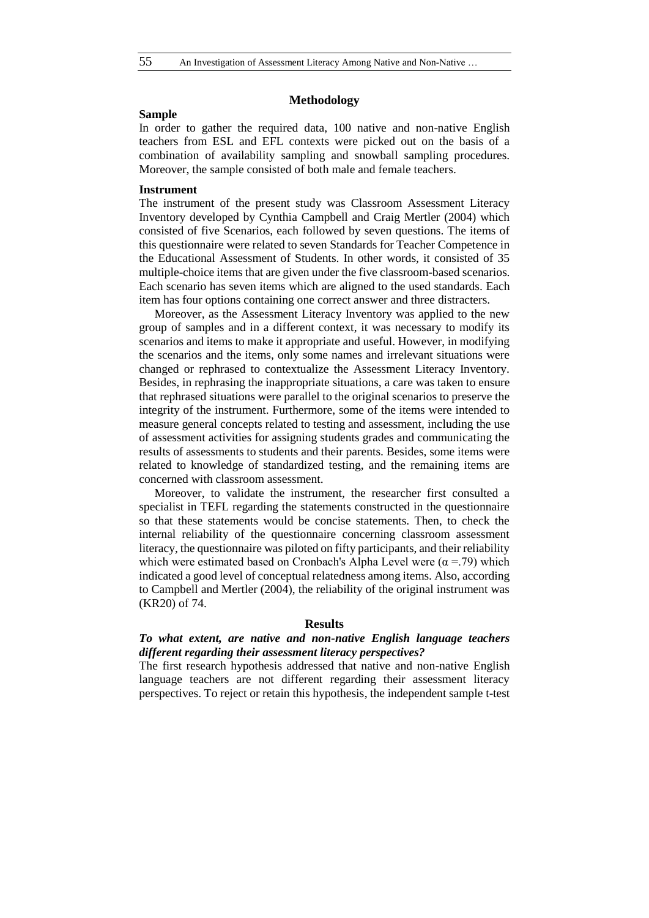### **Methodology**

## **Sample**

In order to gather the required data, 100 native and non-native English teachers from ESL and EFL contexts were picked out on the basis of a combination of availability sampling and snowball sampling procedures. Moreover, the sample consisted of both male and female teachers.

#### **Instrument**

The instrument of the present study was Classroom Assessment Literacy Inventory developed by Cynthia Campbell and Craig Mertler (2004) which consisted of five Scenarios, each followed by seven questions. The items of this questionnaire were related to seven Standards for Teacher Competence in the Educational Assessment of Students. In other words, it consisted of 35 multiple-choice items that are given under the five classroom-based scenarios. Each scenario has seven items which are aligned to the used standards. Each item has four options containing one correct answer and three distracters.

Moreover, as the Assessment Literacy Inventory was applied to the new group of samples and in a different context, it was necessary to modify its scenarios and items to make it appropriate and useful. However, in modifying the scenarios and the items, only some names and irrelevant situations were changed or rephrased to contextualize the Assessment Literacy Inventory. Besides, in rephrasing the inappropriate situations, a care was taken to ensure that rephrased situations were parallel to the original scenarios to preserve the integrity of the instrument. Furthermore, some of the items were intended to measure general concepts related to testing and assessment, including the use of assessment activities for assigning students grades and communicating the results of assessments to students and their parents. Besides, some items were related to knowledge of standardized testing, and the remaining items are concerned with classroom assessment.

Moreover, to validate the instrument, the researcher first consulted a specialist in TEFL regarding the statements constructed in the questionnaire so that these statements would be concise statements. Then, to check the internal reliability of the questionnaire concerning classroom assessment literacy, the questionnaire was piloted on fifty participants, and their reliability which were estimated based on Cronbach's Alpha Level were ( $\alpha$  = 79) which indicated a good level of conceptual relatedness among items. Also, according to Campbell and Mertler (2004), the reliability of the original instrument was (KR20) of 74.

### **Results**

## *To what extent, are native and non-native English language teachers different regarding their assessment literacy perspectives?*

The first research hypothesis addressed that native and non-native English language teachers are not different regarding their assessment literacy perspectives. To reject or retain this hypothesis, the independent sample t-test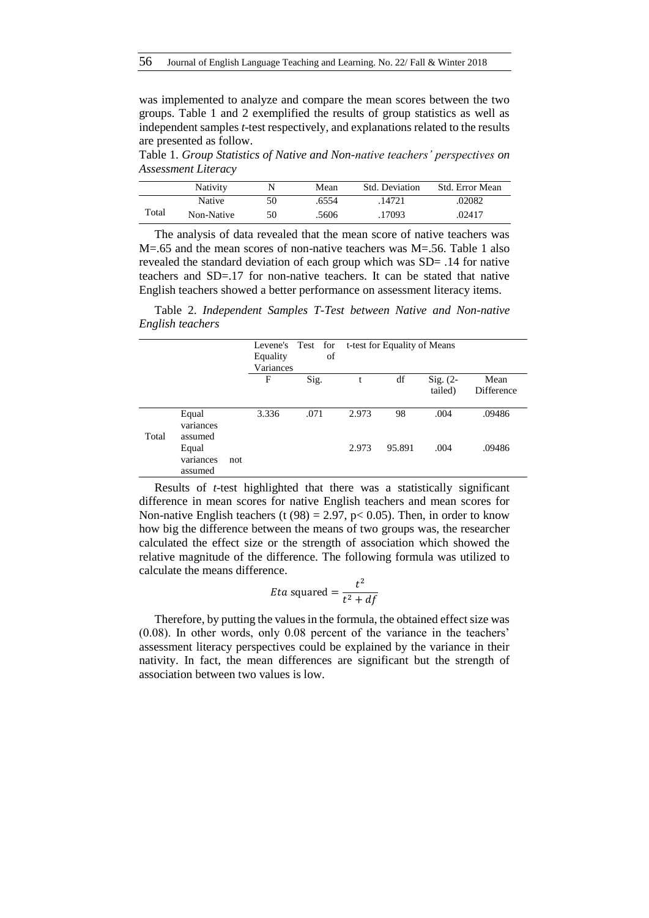was implemented to analyze and compare the mean scores between the two groups. Table 1 and 2 exemplified the results of group statistics as well as independent samples *t*-test respectively, and explanations related to the results are presented as follow.

Table 1. *Group Statistics of Native and Non-native teachers' perspectives on Assessment Literacy*

|       | <b>Nativity</b> |    | Mean  | Std. Deviation | Std. Error Mean |
|-------|-----------------|----|-------|----------------|-----------------|
|       | <b>Native</b>   |    | .6554 | .14721         | .02082          |
| Total | Non-Native      | 50 | .5606 | .17093         | .02417          |

The analysis of data revealed that the mean score of native teachers was M=.65 and the mean scores of non-native teachers was M=.56. Table 1 also revealed the standard deviation of each group which was SD= .14 for native teachers and SD=.17 for non-native teachers. It can be stated that native English teachers showed a better performance on assessment literacy items.

Table 2. *Independent Samples T-Test between Native and Non-native English teachers*

|       |                               |     | Equality<br>Variances | Levene's Test for t-test for Equality of Means<br>of |       |        |                       |                    |
|-------|-------------------------------|-----|-----------------------|------------------------------------------------------|-------|--------|-----------------------|--------------------|
|       |                               |     | F                     | Sig.                                                 | t     | df     | $Sig. (2-$<br>tailed) | Mean<br>Difference |
| Total | Equal<br>variances<br>assumed |     | 3.336                 | .071                                                 | 2.973 | 98     | .004                  | .09486             |
|       | Equal<br>variances<br>assumed | not |                       |                                                      | 2.973 | 95.891 | .004                  | .09486             |

Results of *t*-test highlighted that there was a statistically significant difference in mean scores for native English teachers and mean scores for Non-native English teachers (t (98) = 2.97, p < 0.05). Then, in order to know how big the difference between the means of two groups was, the researcher calculated the effect size or the strength of association which showed the relative magnitude of the difference. The following formula was utilized to calculate the means difference.

$$
Eta \text{ squared} = \frac{t^2}{t^2 + df}
$$

Therefore, by putting the values in the formula, the obtained effect size was (0.08). In other words, only 0.08 percent of the variance in the teachers' assessment literacy perspectives could be explained by the variance in their nativity. In fact, the mean differences are significant but the strength of association between two values is low.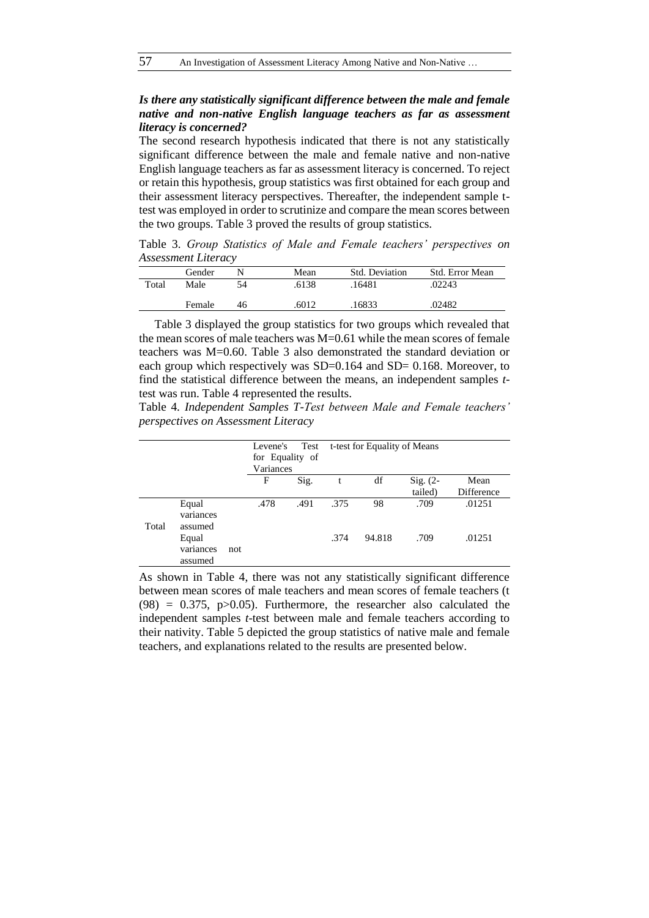## *Is there any statistically significant difference between the male and female native and non-native English language teachers as far as assessment literacy is concerned?*

The second research hypothesis indicated that there is not any statistically significant difference between the male and female native and non-native English language teachers as far as assessment literacy is concerned. To reject or retain this hypothesis, group statistics was first obtained for each group and their assessment literacy perspectives. Thereafter, the independent sample ttest was employed in order to scrutinize and compare the mean scores between the two groups. Table 3 proved the results of group statistics.

Table 3. *Group Statistics of Male and Female teachers' perspectives on Assessment Literacy*

|       | Gender |    | Mean  | Std. Deviation | Std. Error Mean |
|-------|--------|----|-------|----------------|-----------------|
| Total | Male   | 54 | .6138 | .16481         | .02243          |
|       | Female | 46 | .6012 | .16833         | .02482          |

Table 3 displayed the group statistics for two groups which revealed that the mean scores of male teachers was  $M=0.61$  while the mean scores of female teachers was M=0.60. Table 3 also demonstrated the standard deviation or each group which respectively was SD=0.164 and SD= 0.168. Moreover, to find the statistical difference between the means, an independent samples *t*test was run. Table 4 represented the results.

Table 4*. Independent Samples T-Test between Male and Female teachers' perspectives on Assessment Literacy*

|       |                               |     | Levene's  | Test            |      | t-test for Equality of Means |            |            |
|-------|-------------------------------|-----|-----------|-----------------|------|------------------------------|------------|------------|
|       |                               |     |           | for Equality of |      |                              |            |            |
|       |                               |     | Variances |                 |      |                              |            |            |
|       |                               |     | F         | Sig.            | t    | df                           | $Sig. (2-$ | Mean       |
|       |                               |     |           |                 |      |                              | tailed)    | Difference |
| Total | Equal<br>variances<br>assumed |     | .478      | .491            | .375 | 98                           | .709       | .01251     |
|       | Equal<br>variances<br>assumed | not |           |                 | .374 | 94.818                       | .709       | .01251     |

As shown in Table 4, there was not any statistically significant difference between mean scores of male teachers and mean scores of female teachers (t  $(98) = 0.375$ ,  $p > 0.05$ ). Furthermore, the researcher also calculated the independent samples *t*-test between male and female teachers according to their nativity. Table 5 depicted the group statistics of native male and female teachers, and explanations related to the results are presented below.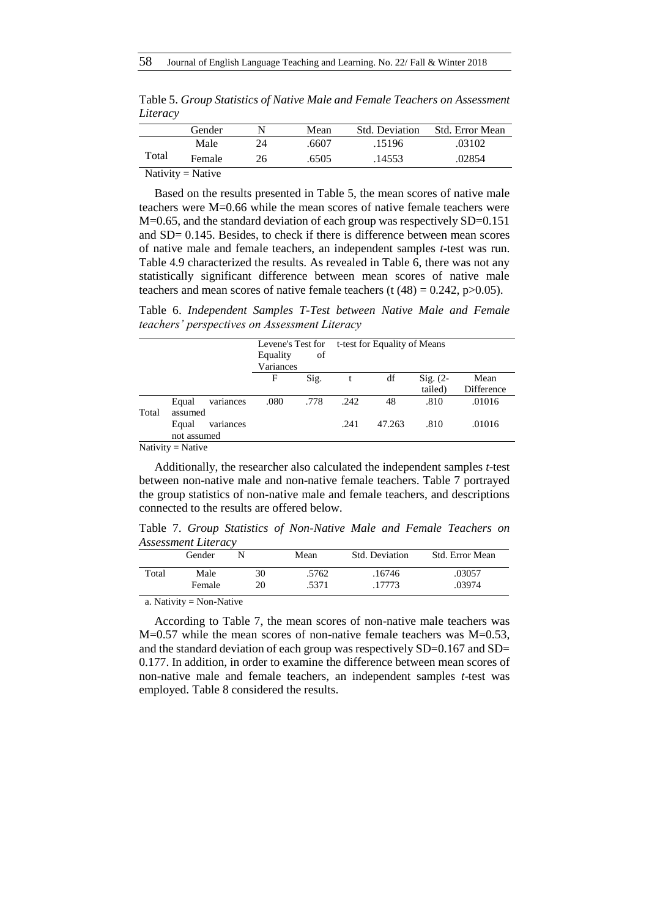Table 5. *Group Statistics of Native Male and Female Teachers on Assessment Literacy*

|       | Gender |    | Mean  | <b>Std. Deviation</b> | Std. Error Mean |
|-------|--------|----|-------|-----------------------|-----------------|
|       | Male   | 24 | .6607 | .15196                | .03102          |
| Total | Female | 26 | .6505 | .14553                | .02854          |
| .     | .      |    |       |                       |                 |

Nativity  $=$  Native

Based on the results presented in Table 5, the mean scores of native male teachers were M=0.66 while the mean scores of native female teachers were M=0.65, and the standard deviation of each group was respectively SD=0.151 and SD= 0.145. Besides, to check if there is difference between mean scores of native male and female teachers, an independent samples *t*-test was run. Table 4.9 characterized the results. As revealed in Table 6, there was not any statistically significant difference between mean scores of native male teachers and mean scores of native female teachers (t  $(48) = 0.242$ , p $>0.05$ ).

Table 6. *Independent Samples T-Test between Native Male and Female teachers' perspectives on Assessment Literacy*

|       |                      |           | Levene's Test for |      |      | t-test for Equality of Means |                     |            |
|-------|----------------------|-----------|-------------------|------|------|------------------------------|---------------------|------------|
|       |                      |           | Equality          | of   |      |                              |                     |            |
|       |                      |           | Variances         |      |      |                              |                     |            |
|       |                      |           | F                 | Sig. |      | df                           | $\mathrm{Sig.}$ (2- | Mean       |
|       |                      |           |                   |      |      |                              | tailed)             | Difference |
|       | Equal                | variances | .080              | .778 | .242 | 48                           | .810                | .01016     |
| Total | assumed              |           |                   |      |      |                              |                     |            |
|       | Equal                | variances |                   |      | .241 | 47.263                       | .810                | .01016     |
|       | not assumed          |           |                   |      |      |                              |                     |            |
|       | $M$ otivity – Motivo |           |                   |      |      |                              |                     |            |

Nativity  $=$  Native

Additionally, the researcher also calculated the independent samples *t*-test between non-native male and non-native female teachers. Table 7 portrayed the group statistics of non-native male and female teachers, and descriptions connected to the results are offered below.

Table 7. *Group Statistics of Non-Native Male and Female Teachers on Assessment Literacy*

|       | Gender |    | Mean  | Std. Deviation | Std. Error Mean |
|-------|--------|----|-------|----------------|-----------------|
| Total | Male   | 30 | .5762 | .16746         | .03057          |
|       | Female | 20 | .5371 | .17773         | .03974          |

a. Nativity = Non-Native

According to Table 7, the mean scores of non-native male teachers was  $M=0.57$  while the mean scores of non-native female teachers was  $M=0.53$ , and the standard deviation of each group was respectively SD=0.167 and SD= 0.177. In addition, in order to examine the difference between mean scores of non-native male and female teachers, an independent samples *t*-test was employed. Table 8 considered the results.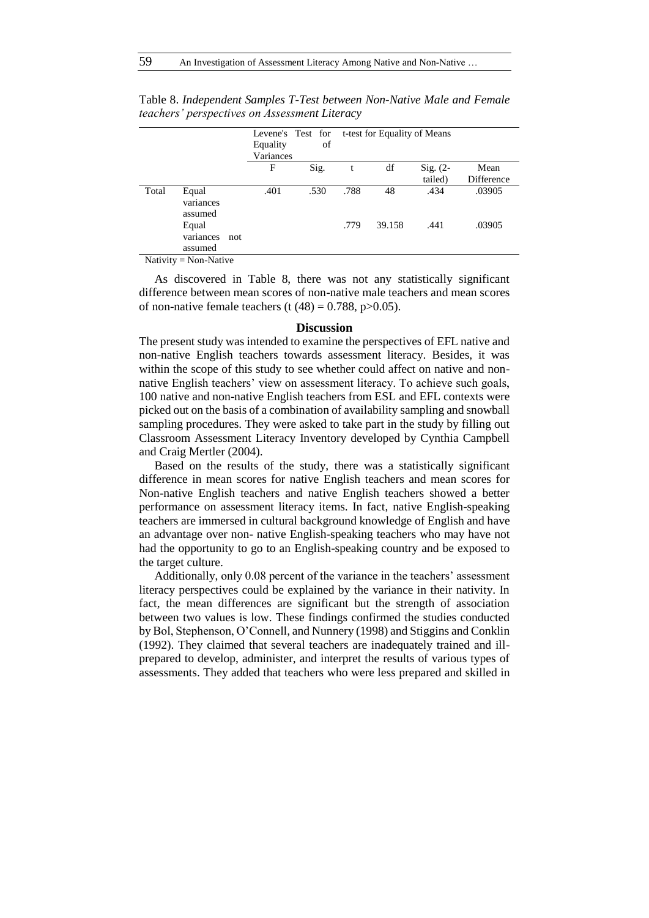|       |                                      |           |      |      | Levene's Test for t-test for Equality of Means |                       |                    |
|-------|--------------------------------------|-----------|------|------|------------------------------------------------|-----------------------|--------------------|
|       |                                      | Equality  | οf   |      |                                                |                       |                    |
|       |                                      | Variances |      |      |                                                |                       |                    |
|       |                                      | F         | Sig. |      | df                                             | $Sig. (2-$<br>tailed) | Mean<br>Difference |
| Total | Equal<br>variances<br>assumed        | .401      | .530 | .788 | 48                                             | .434                  | .03905             |
|       | Equal<br>variances<br>not<br>assumed |           |      | .779 | 39.158                                         | .441                  | .03905             |

Table 8. *Independent Samples T-Test between Non-Native Male and Female teachers' perspectives on Assessment Literacy*

 $N$ ativity =  $N$ on-Native

As discovered in Table 8, there was not any statistically significant difference between mean scores of non-native male teachers and mean scores of non-native female teachers (t  $(48) = 0.788$ , p $>0.05$ ).

## **Discussion**

The present study was intended to examine the perspectives of EFL native and non-native English teachers towards assessment literacy. Besides, it was within the scope of this study to see whether could affect on native and nonnative English teachers' view on assessment literacy. To achieve such goals, 100 native and non-native English teachers from ESL and EFL contexts were picked out on the basis of a combination of availability sampling and snowball sampling procedures. They were asked to take part in the study by filling out Classroom Assessment Literacy Inventory developed by Cynthia Campbell and Craig Mertler (2004).

Based on the results of the study, there was a statistically significant difference in mean scores for native English teachers and mean scores for Non-native English teachers and native English teachers showed a better performance on assessment literacy items. In fact, native English-speaking teachers are immersed in cultural background knowledge of English and have an advantage over non- native English-speaking teachers who may have not had the opportunity to go to an English-speaking country and be exposed to the target culture.

Additionally, only 0.08 percent of the variance in the teachers' assessment literacy perspectives could be explained by the variance in their nativity. In fact, the mean differences are significant but the strength of association between two values is low. These findings confirmed the studies conducted by Bol, Stephenson, O'Connell, and Nunnery (1998) and Stiggins and Conklin (1992). They claimed that several teachers are inadequately trained and illprepared to develop, administer, and interpret the results of various types of assessments. They added that teachers who were less prepared and skilled in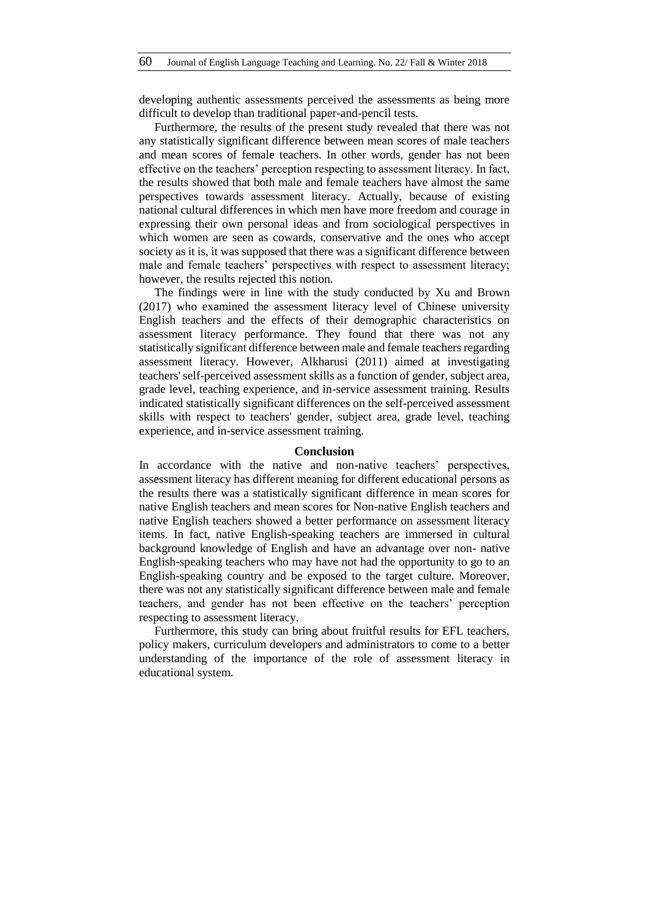developing authentic assessments perceived the assessments as being more difficult to develop than traditional paper-and-pencil tests.

Furthermore, the results of the present study revealed that there was not any statistically significant difference between mean scores of male teachers and mean scores of female teachers. In other words, gender has not been effective on the teachers' perception respecting to assessment literacy. In fact, the results showed that both male and female teachers have almost the same perspectives towards assessment literacy. Actually, because of existing national cultural differences in which men have more freedom and courage in expressing their own personal ideas and from sociological perspectives in which women are seen as cowards, conservative and the ones who accept society as it is, it was supposed that there was a significant difference between male and female teachers' perspectives with respect to assessment literacy; however, the results rejected this notion.

The findings were in line with the study conducted by Xu and Brown (2017) who examined the assessment literacy level of Chinese university English teachers and the effects of their demographic characteristics on assessment literacy performance. They found that there was not any statistically significant difference between male and female teachers regarding assessment literacy. However, Alkharusi (2011) aimed at investigating teachers' self-perceived assessment skills as a function of gender, subject area, grade level, teaching experience, and in-service assessment training. Results indicated statistically significant differences on the self-perceived assessment skills with respect to teachers' gender, subject area, grade level, teaching experience, and in-service assessment training.

### **Conclusion**

In accordance with the native and non-native teachers' perspectives, assessment literacy has different meaning for different educational persons as the results there was a statistically significant difference in mean scores for native English teachers and mean scores for Non-native English teachers and native English teachers showed a better performance on assessment literacy items. In fact, native English-speaking teachers are immersed in cultural background knowledge of English and have an advantage over non- native English-speaking teachers who may have not had the opportunity to go to an English-speaking country and be exposed to the target culture. Moreover, there was not any statistically significant difference between male and female teachers, and gender has not been effective on the teachers' perception respecting to assessment literacy.

Furthermore, this study can bring about fruitful results for EFL teachers, policy makers, curriculum developers and administrators to come to a better understanding of the importance of the role of assessment literacy in educational system.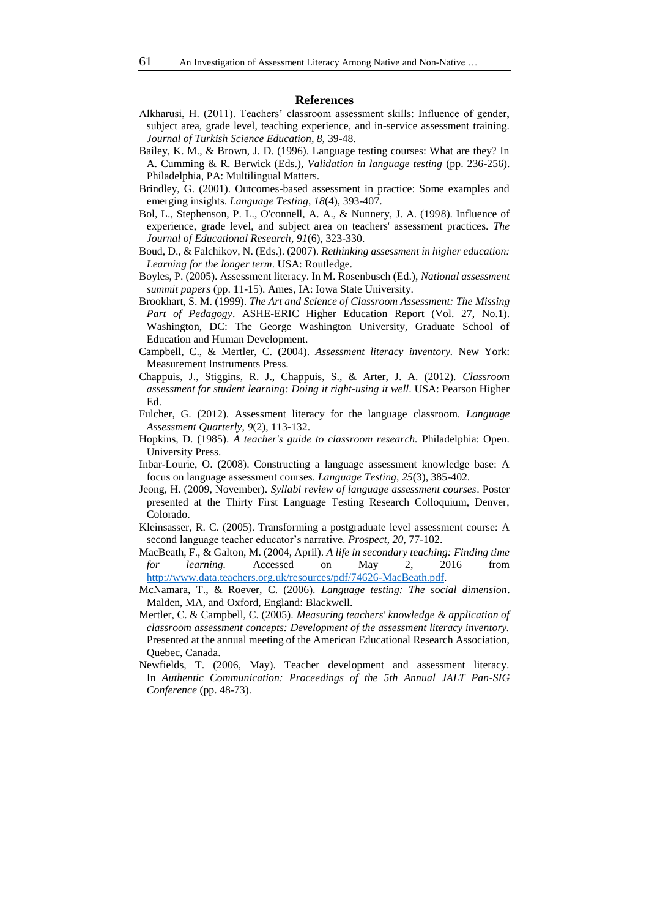#### **References**

- Alkharusi, H. (2011). Teachers' classroom assessment skills: Influence of gender, subject area, grade level, teaching experience, and in-service assessment training. *Journal of Turkish Science Education, 8,* 39-48.
- Bailey, K. M., & Brown, J. D. (1996). Language testing courses: What are they? In A. Cumming & R. Berwick (Eds.), *Validation in language testing* (pp. 236-256). Philadelphia, PA: Multilingual Matters.
- Brindley, G. (2001). Outcomes-based assessment in practice: Some examples and emerging insights. *Language Testing*, *18*(4), 393-407.
- Bol, L., Stephenson, P. L., O'connell, A. A., & Nunnery, J. A. (1998). Influence of experience, grade level, and subject area on teachers' assessment practices. *The Journal of Educational Research*, *91*(6), 323-330.
- Boud, D., & Falchikov, N. (Eds.). (2007). *Rethinking assessment in higher education: Learning for the longer term*. USA: Routledge.
- Boyles, P. (2005). Assessment literacy. In M. Rosenbusch (Ed.), *National assessment summit papers* (pp. 11-15). Ames, IA: Iowa State University.
- Brookhart, S. M. (1999). *The Art and Science of Classroom Assessment: The Missing Part of Pedagogy*. ASHE-ERIC Higher Education Report (Vol. 27, No.1). Washington, DC: The George Washington University, Graduate School of Education and Human Development.
- Campbell, C., & Mertler, C. (2004). *Assessment literacy inventory.* New York: Measurement Instruments Press.
- Chappuis, J., Stiggins, R. J., Chappuis, S., & Arter, J. A. (2012). *Classroom assessment for student learning: Doing it right-using it well*. USA: Pearson Higher Ed.
- Fulcher, G. (2012). Assessment literacy for the language classroom. *Language Assessment Quarterly*, *9*(2), 113-132.
- Hopkins, D. (1985). *A teacher's guide to classroom research.* Philadelphia: Open. University Press.
- Inbar-Lourie, O. (2008). Constructing a language assessment knowledge base: A focus on language assessment courses. *Language Testing, 25*(3), 385-402.
- Jeong, H. (2009, November). *Syllabi review of language assessment courses*. Poster presented at the Thirty First Language Testing Research Colloquium, Denver, Colorado.
- Kleinsasser, R. C. (2005). Transforming a postgraduate level assessment course: A second language teacher educator's narrative. *Prospect*, *20*, 77-102.
- MacBeath, F., & Galton, M. (2004, April). *A life in secondary teaching: Finding time for learning.* Accessed on May 2, 2016 from [http://www.data.teachers.org.uk/resources/pdf/74626-MacBeath.pdf.](http://www.data.teachers.org.uk/resources/pdf/74626-MacBeath.pdf)
- McNamara, T., & Roever, C. (2006). *Language testing: The social dimension*. Malden, MA, and Oxford, England: Blackwell.
- Mertler, C. & Campbell, C. (2005). *Measuring teachers' knowledge & application of classroom assessment concepts: Development of the assessment literacy inventory.*  Presented at the annual meeting of the American Educational Research Association, Quebec, Canada.
- Newfields, T. (2006, May). Teacher development and assessment literacy. In *Authentic Communication: Proceedings of the 5th Annual JALT Pan-SIG Conference* (pp. 48-73).